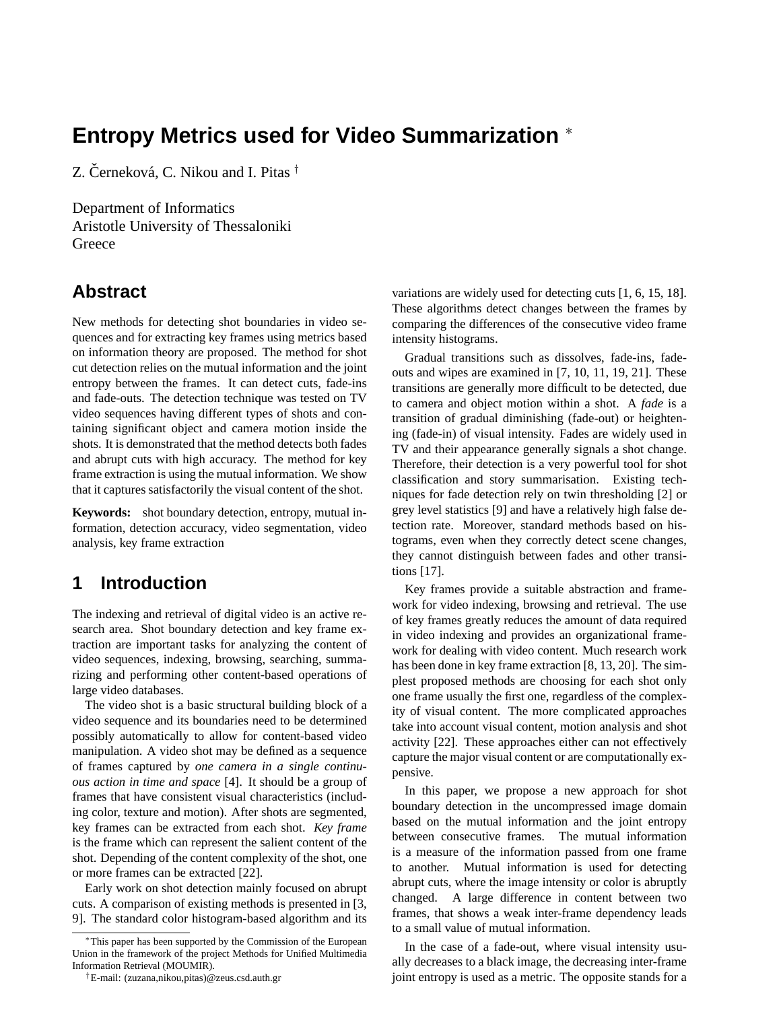# **Entropy Metrics used for Video Summarization** <sup>∗</sup>

Z. Černeková, C. Nikou and I. Pitas  $^\dagger$ 

Department of Informatics Aristotle University of Thessaloniki **Greece** 

### **Abstract**

New methods for detecting shot boundaries in video sequences and for extracting key frames using metrics based on information theory are proposed. The method for shot cut detection relies on the mutual information and the joint entropy between the frames. It can detect cuts, fade-ins and fade-outs. The detection technique was tested on TV video sequences having different types of shots and containing significant object and camera motion inside the shots. It is demonstrated that the method detects both fades and abrupt cuts with high accuracy. The method for key frame extraction is using the mutual information. We show that it captures satisfactorily the visual content of the shot.

**Keywords:** shot boundary detection, entropy, mutual information, detection accuracy, video segmentation, video analysis, key frame extraction

## **1 Introduction**

The indexing and retrieval of digital video is an active research area. Shot boundary detection and key frame extraction are important tasks for analyzing the content of video sequences, indexing, browsing, searching, summarizing and performing other content-based operations of large video databases.

The video shot is a basic structural building block of a video sequence and its boundaries need to be determined possibly automatically to allow for content-based video manipulation. A video shot may be defined as a sequence of frames captured by *one camera in a single continuous action in time and space* [4]. It should be a group of frames that have consistent visual characteristics (including color, texture and motion). After shots are segmented, key frames can be extracted from each shot. *Key frame* is the frame which can represent the salient content of the shot. Depending of the content complexity of the shot, one or more frames can be extracted [22].

Early work on shot detection mainly focused on abrupt cuts. A comparison of existing methods is presented in [3, 9]. The standard color histogram-based algorithm and its

variations are widely used for detecting cuts [1, 6, 15, 18]. These algorithms detect changes between the frames by comparing the differences of the consecutive video frame intensity histograms.

Gradual transitions such as dissolves, fade-ins, fadeouts and wipes are examined in [7, 10, 11, 19, 21]. These transitions are generally more difficult to be detected, due to camera and object motion within a shot. A *fade* is a transition of gradual diminishing (fade-out) or heightening (fade-in) of visual intensity. Fades are widely used in TV and their appearance generally signals a shot change. Therefore, their detection is a very powerful tool for shot classification and story summarisation. Existing techniques for fade detection rely on twin thresholding [2] or grey level statistics [9] and have a relatively high false detection rate. Moreover, standard methods based on histograms, even when they correctly detect scene changes, they cannot distinguish between fades and other transitions [17].

Key frames provide a suitable abstraction and framework for video indexing, browsing and retrieval. The use of key frames greatly reduces the amount of data required in video indexing and provides an organizational framework for dealing with video content. Much research work has been done in key frame extraction [8, 13, 20]. The simplest proposed methods are choosing for each shot only one frame usually the first one, regardless of the complexity of visual content. The more complicated approaches take into account visual content, motion analysis and shot activity [22]. These approaches either can not effectively capture the major visual content or are computationally expensive.

In this paper, we propose a new approach for shot boundary detection in the uncompressed image domain based on the mutual information and the joint entropy between consecutive frames. The mutual information is a measure of the information passed from one frame to another. Mutual information is used for detecting abrupt cuts, where the image intensity or color is abruptly changed. A large difference in content between two frames, that shows a weak inter-frame dependency leads to a small value of mutual information.

In the case of a fade-out, where visual intensity usually decreases to a black image, the decreasing inter-frame joint entropy is used as a metric. The opposite stands for a

<sup>∗</sup>This paper has been supported by the Commission of the European Union in the framework of the project Methods for Unified Multimedia Information Retrieval (MOUMIR).

<sup>†</sup>E-mail: (zuzana,nikou,pitas)@zeus.csd.auth.gr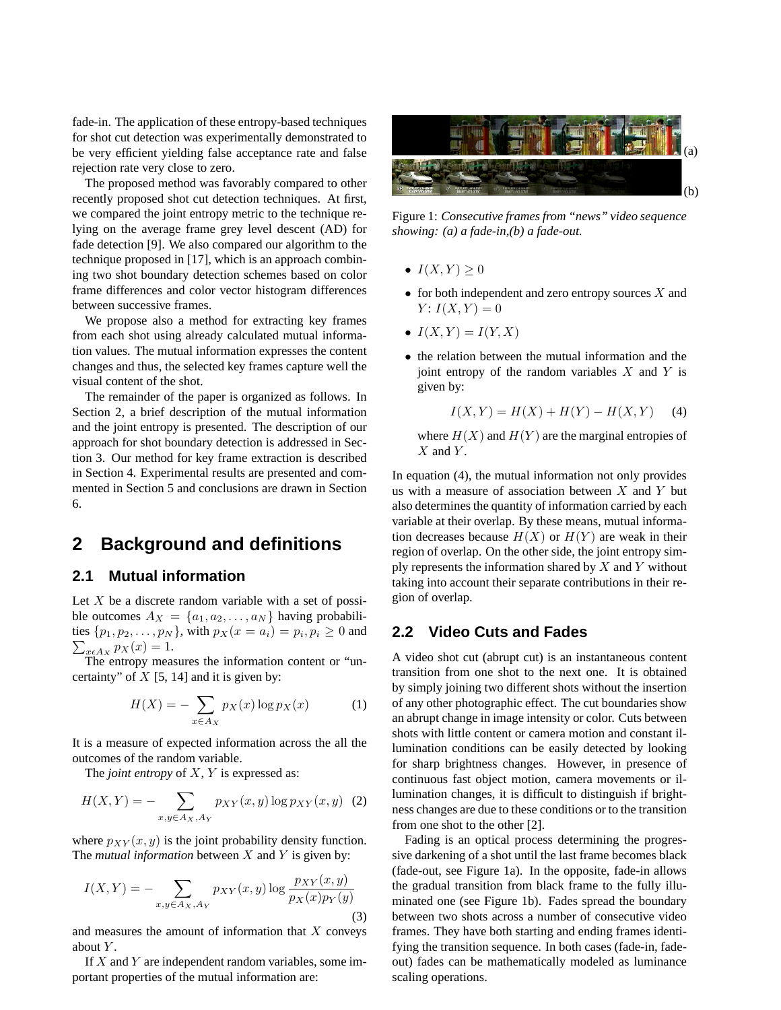fade-in. The application of these entropy-based techniques for shot cut detection was experimentally demonstrated to be very efficient yielding false acceptance rate and false rejection rate very close to zero.

The proposed method was favorably compared to other recently proposed shot cut detection techniques. At first, we compared the joint entropy metric to the technique relying on the average frame grey level descent (AD) for fade detection [9]. We also compared our algorithm to the technique proposed in [17], which is an approach combining two shot boundary detection schemes based on color frame differences and color vector histogram differences between successive frames.

We propose also a method for extracting key frames from each shot using already calculated mutual information values. The mutual information expresses the content changes and thus, the selected key frames capture well the visual content of the shot.

The remainder of the paper is organized as follows. In Section 2, a brief description of the mutual information and the joint entropy is presented. The description of our approach for shot boundary detection is addressed in Section 3. Our method for key frame extraction is described in Section 4. Experimental results are presented and commented in Section 5 and conclusions are drawn in Section 6.

### **2 Background and definitions**

#### **2.1 Mutual information**

Let  $X$  be a discrete random variable with a set of possible outcomes  $A_X = \{a_1, a_2, \ldots, a_N\}$  having probabilities  $\{p_1, p_2, ..., p_N\}$ , with  $p_X(x = a_i) = p_i, p_i \ge 0$  and  $_{x\epsilon A_X} p_X(x) = 1.$ 

The entropy measures the information content or "uncertainty" of  $X$  [5, 14] and it is given by:

$$
H(X) = -\sum_{x \in A_X} p_X(x) \log p_X(x) \tag{1}
$$

It is a measure of expected information across the all the outcomes of the random variable.

The *joint entropy* of X, Y is expressed as:

$$
H(X,Y) = -\sum_{x,y \in A_X, A_Y} p_{XY}(x,y) \log p_{XY}(x,y)
$$
 (2)

where  $p_{XY}(x, y)$  is the joint probability density function. The *mutual information* between  $X$  and  $Y$  is given by:

$$
I(X,Y) = -\sum_{x,y \in A_X, A_Y} p_{XY}(x,y) \log \frac{p_{XY}(x,y)}{p_X(x)p_Y(y)}
$$
\n(3)

and measures the amount of information that  $X$  conveys about  $Y$ .

If  $X$  and  $Y$  are independent random variables, some important properties of the mutual information are:



Figure 1: *Consecutive frames from "news" video sequence showing: (a) a fade-in,(b) a fade-out.*

- $I(X, Y) \geq 0$
- for both independent and zero entropy sources  $X$  and  $Y: I(X, Y) = 0$
- $I(X, Y) = I(Y, X)$
- the relation between the mutual information and the joint entropy of the random variables  $X$  and  $Y$  is given by:

$$
I(X, Y) = H(X) + H(Y) - H(X, Y) \tag{4}
$$

where  $H(X)$  and  $H(Y)$  are the marginal entropies of  $X$  and  $Y$ .

In equation (4), the mutual information not only provides us with a measure of association between  $X$  and  $Y$  but also determines the quantity of information carried by each variable at their overlap. By these means, mutual information decreases because  $H(X)$  or  $H(Y)$  are weak in their region of overlap. On the other side, the joint entropy simply represents the information shared by  $X$  and  $Y$  without taking into account their separate contributions in their region of overlap.

#### **2.2 Video Cuts and Fades**

A video shot cut (abrupt cut) is an instantaneous content transition from one shot to the next one. It is obtained by simply joining two different shots without the insertion of any other photographic effect. The cut boundaries show an abrupt change in image intensity or color. Cuts between shots with little content or camera motion and constant illumination conditions can be easily detected by looking for sharp brightness changes. However, in presence of continuous fast object motion, camera movements or illumination changes, it is difficult to distinguish if brightness changes are due to these conditions or to the transition from one shot to the other [2].

Fading is an optical process determining the progressive darkening of a shot until the last frame becomes black (fade-out, see Figure 1a). In the opposite, fade-in allows the gradual transition from black frame to the fully illuminated one (see Figure 1b). Fades spread the boundary between two shots across a number of consecutive video frames. They have both starting and ending frames identifying the transition sequence. In both cases (fade-in, fadeout) fades can be mathematically modeled as luminance scaling operations.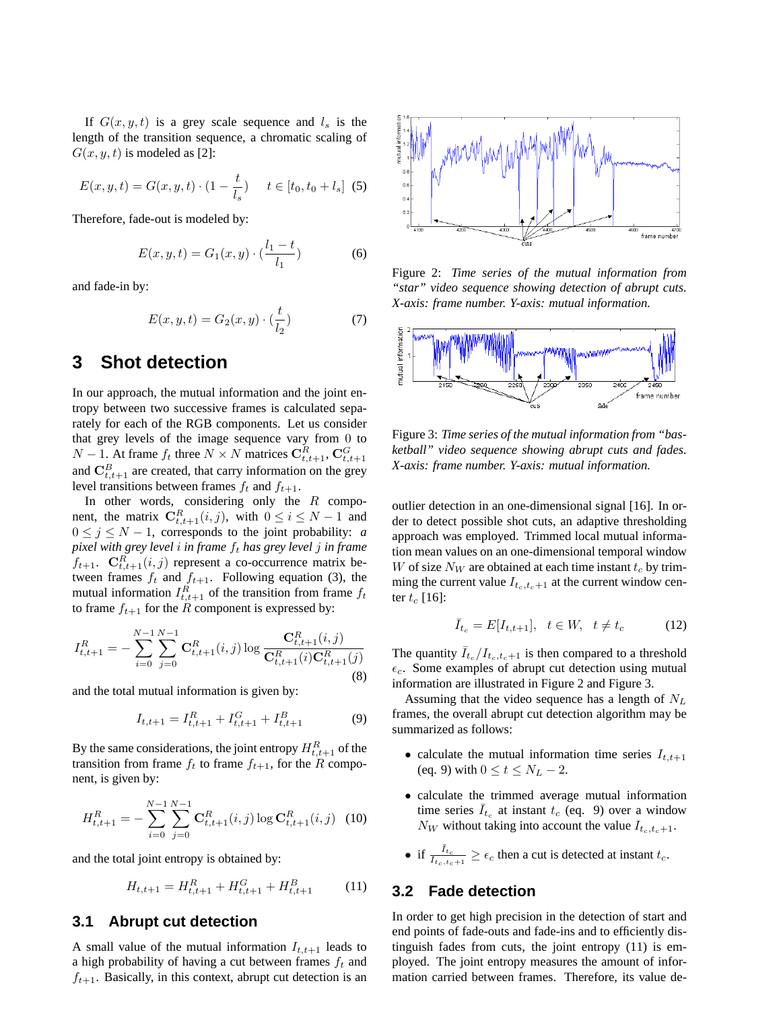If  $G(x, y, t)$  is a grey scale sequence and  $l_s$  is the length of the transition sequence, a chromatic scaling of  $G(x, y, t)$  is modeled as [2]:

$$
E(x, y, t) = G(x, y, t) \cdot (1 - \frac{t}{l_s}) \quad t \in [t_0, t_0 + l_s]
$$
 (5)

Therefore, fade-out is modeled by:

$$
E(x, y, t) = G_1(x, y) \cdot \left(\frac{l_1 - t}{l_1}\right) \tag{6}
$$

and fade-in by:

$$
E(x, y, t) = G_2(x, y) \cdot (\frac{t}{l_2})
$$
 (7)

### **3 Shot detection**

In our approach, the mutual information and the joint entropy between two successive frames is calculated separately for each of the RGB components. Let us consider that grey levels of the image sequence vary from 0 to  $N-1$ . At frame  $f_t$  three  $N \times N$  matrices  $\mathbf{C}_{t,t+1}^R$ ,  $\mathbf{C}_{t,t+1}^G$ and  $\mathbf{C}_{t,t+1}^B$  are created, that carry information on the grey level transitions between frames  $f_t$  and  $f_{t+1}$ .

In other words, considering only the  $R$  component, the matrix  $\mathbf{C}_{t,t+1}^R(i,j)$ , with  $0 \le i \le N-1$  and  $0 \le j \le N - 1$ , corresponds to the joint probability: *a pixel with grey level i in frame*  $f_t$  *has grey level j in frame*  $f_{t+1}$ .  $\mathbf{C}_{t,t+1}^R(i,j)$  represent a co-occurrence matrix between frames  $f_t$  and  $f_{t+1}$ . Following equation (3), the mutual information  $I_{t,t+1}^R$  of the transition from frame  $f_t$ to frame  $f_{t+1}$  for the R component is expressed by:

$$
I_{t,t+1}^{R} = -\sum_{i=0}^{N-1} \sum_{j=0}^{N-1} \mathbf{C}_{t,t+1}^{R}(i,j) \log \frac{\mathbf{C}_{t,t+1}^{R}(i,j)}{\mathbf{C}_{t,t+1}^{R}(i)\mathbf{C}_{t,t+1}^{R}(j)}
$$
(8)

and the total mutual information is given by:

$$
I_{t,t+1} = I_{t,t+1}^R + I_{t,t+1}^G + I_{t,t+1}^B
$$
 (9)

By the same considerations, the joint entropy  $H_{t,t+1}^R$  of the transition from frame  $f_t$  to frame  $f_{t+1}$ , for the R component, is given by:

$$
H_{t,t+1}^{R} = -\sum_{i=0}^{N-1} \sum_{j=0}^{N-1} \mathbf{C}_{t,t+1}^{R}(i,j) \log \mathbf{C}_{t,t+1}^{R}(i,j)
$$
 (10)

and the total joint entropy is obtained by:

$$
H_{t,t+1} = H_{t,t+1}^R + H_{t,t+1}^G + H_{t,t+1}^B \tag{11}
$$

#### **3.1 Abrupt cut detection**

A small value of the mutual information  $I_{t,t+1}$  leads to a high probability of having a cut between frames  $f_t$  and  $f_{t+1}$ . Basically, in this context, abrupt cut detection is an



Figure 2: *Time series of the mutual information from "star" video sequence showing detection of abrupt cuts. X-axis: frame number. Y-axis: mutual information.*



Figure 3: *Time series of the mutual information from "basketball" video sequence showing abrupt cuts and fades. X-axis: frame number. Y-axis: mutual information.*

outlier detection in an one-dimensional signal [16]. In order to detect possible shot cuts, an adaptive thresholding approach was employed. Trimmed local mutual information mean values on an one-dimensional temporal window W of size  $N_W$  are obtained at each time instant  $t_c$  by trimming the current value  $I_{t_c,t_c+1}$  at the current window center  $t_c$  [16]:

$$
\bar{I}_{t_c} = E[I_{t,t+1}], \quad t \in W, \quad t \neq t_c \tag{12}
$$

The quantity  $\bar{I}_{t_c}/I_{t_c,t_c+1}$  is then compared to a threshold  $\epsilon_c$ . Some examples of abrupt cut detection using mutual information are illustrated in Figure 2 and Figure 3.

Assuming that the video sequence has a length of  $N_L$ frames, the overall abrupt cut detection algorithm may be summarized as follows:

- calculate the mutual information time series  $I_{t,t+1}$ (eq. 9) with  $0 \le t \le N_L - 2$ .
- calculate the trimmed average mutual information time series  $\overline{I}_{t_c}$  at instant  $t_c$  (eq. 9) over a window  $N_W$  without taking into account the value  $I_{t_c,t_c+1}$ .

• if 
$$
\frac{\bar{I}_{t_c}}{I_{t_c, t_c+1}} \ge \epsilon_c
$$
 then a cut is detected at instant  $t_c$ .

#### **3.2 Fade detection**

In order to get high precision in the detection of start and end points of fade-outs and fade-ins and to efficiently distinguish fades from cuts, the joint entropy (11) is employed. The joint entropy measures the amount of information carried between frames. Therefore, its value de-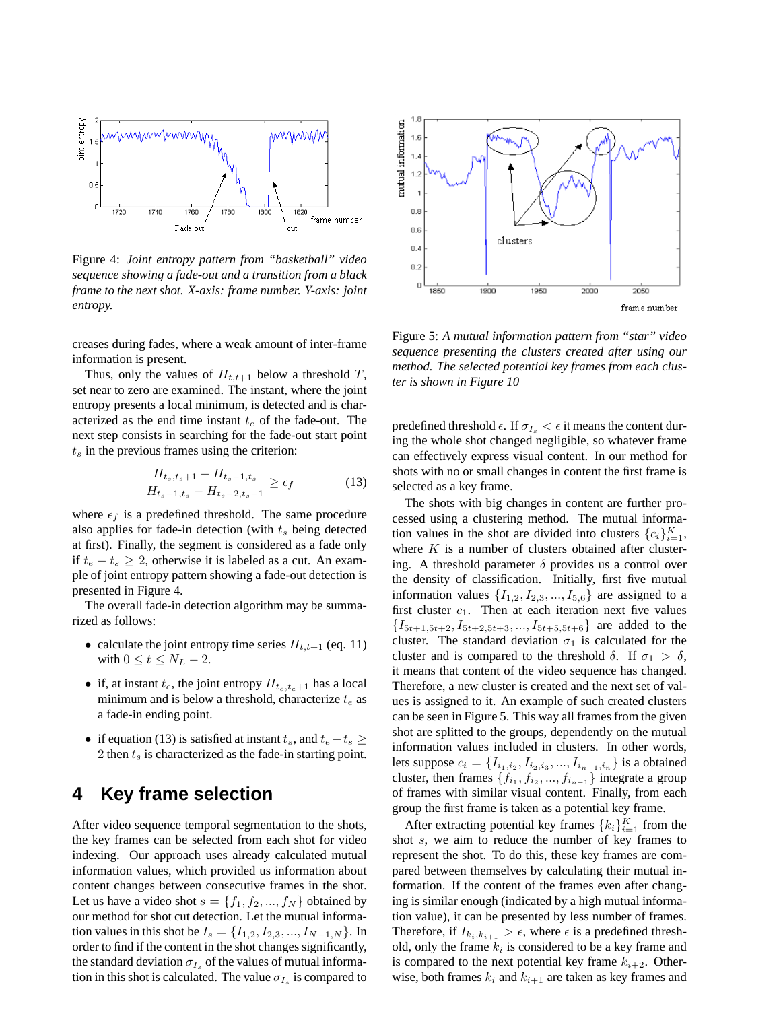

Figure 4: *Joint entropy pattern from "basketball" video sequence showing a fade-out and a transition from a black frame to the next shot. X-axis: frame number. Y-axis: joint entropy.*

creases during fades, where a weak amount of inter-frame information is present.

Thus, only the values of  $H_{t,t+1}$  below a threshold T, set near to zero are examined. The instant, where the joint entropy presents a local minimum, is detected and is characterized as the end time instant  $t_e$  of the fade-out. The next step consists in searching for the fade-out start point  $t<sub>s</sub>$  in the previous frames using the criterion:

$$
\frac{H_{t_s,t_s+1} - H_{t_s-1,t_s}}{H_{t_s-1,t_s} - H_{t_s-2,t_s-1}} \ge \epsilon_f
$$
\n(13)

where  $\epsilon_f$  is a predefined threshold. The same procedure also applies for fade-in detection (with  $t<sub>s</sub>$  being detected at first). Finally, the segment is considered as a fade only if  $t_e - t_s \geq 2$ , otherwise it is labeled as a cut. An example of joint entropy pattern showing a fade-out detection is presented in Figure 4.

The overall fade-in detection algorithm may be summarized as follows:

- calculate the joint entropy time series  $H_{t,t+1}$  (eq. 11) with  $0 \le t \le N_L - 2$ .
- if, at instant  $t_e$ , the joint entropy  $H_{t_e,t_e+1}$  has a local minimum and is below a threshold, characterize  $t_e$  as a fade-in ending point.
- if equation (13) is satisfied at instant  $t_s$ , and  $t_e t_s \geq$ 2 then  $t_s$  is characterized as the fade-in starting point.

## **4 Key frame selection**

After video sequence temporal segmentation to the shots, the key frames can be selected from each shot for video indexing. Our approach uses already calculated mutual information values, which provided us information about content changes between consecutive frames in the shot. Let us have a video shot  $s = \{f_1, f_2, ..., f_N\}$  obtained by our method for shot cut detection. Let the mutual information values in this shot be  $I_s = \{I_{1,2}, I_{2,3}, ..., I_{N-1,N}\}\.$  In order to find if the content in the shot changes significantly, the standard deviation  $\sigma_{I_s}$  of the values of mutual information in this shot is calculated. The value  $\sigma_{I_s}$  is compared to



Figure 5: *A mutual information pattern from "star" video sequence presenting the clusters created after using our method. The selected potential key frames from each cluster is shown in Figure 10*

predefined threshold  $\epsilon$ . If  $\sigma_{I_s} < \epsilon$  it means the content during the whole shot changed negligible, so whatever frame can effectively express visual content. In our method for shots with no or small changes in content the first frame is selected as a key frame.

The shots with big changes in content are further processed using a clustering method. The mutual information values in the shot are divided into clusters  $\{c_i\}_{i=1}^K$ , where  $K$  is a number of clusters obtained after clustering. A threshold parameter  $\delta$  provides us a control over the density of classification. Initially, first five mutual information values  $\{I_{1,2}, I_{2,3}, ..., I_{5,6}\}$  are assigned to a first cluster  $c_1$ . Then at each iteration next five values  $\{I_{5t+1,5t+2}, I_{5t+2,5t+3}, \ldots, I_{5t+5,5t+6}\}\$  are added to the cluster. The standard deviation  $\sigma_1$  is calculated for the cluster and is compared to the threshold  $\delta$ . If  $\sigma_1 > \delta$ , it means that content of the video sequence has changed. Therefore, a new cluster is created and the next set of values is assigned to it. An example of such created clusters can be seen in Figure 5. This way all frames from the given shot are splitted to the groups, dependently on the mutual information values included in clusters. In other words, lets suppose  $c_i = \{I_{i_1,i_2}, I_{i_2,i_3},..., I_{i_{n-1},i_n}\}$  is a obtained cluster, then frames  $\{f_{i_1}, f_{i_2}, ..., f_{i_{n-1}}\}$  integrate a group of frames with similar visual content. Finally, from each group the first frame is taken as a potential key frame.

After extracting potential key frames  ${k_i}_{i=1}^K$  from the shot s, we aim to reduce the number of key frames to represent the shot. To do this, these key frames are compared between themselves by calculating their mutual information. If the content of the frames even after changing is similar enough (indicated by a high mutual information value), it can be presented by less number of frames. Therefore, if  $I_{k_i,k_{i+1}} > \epsilon$ , where  $\epsilon$  is a predefined threshold, only the frame  $k_i$  is considered to be a key frame and is compared to the next potential key frame  $k_{i+2}$ . Otherwise, both frames  $k_i$  and  $k_{i+1}$  are taken as key frames and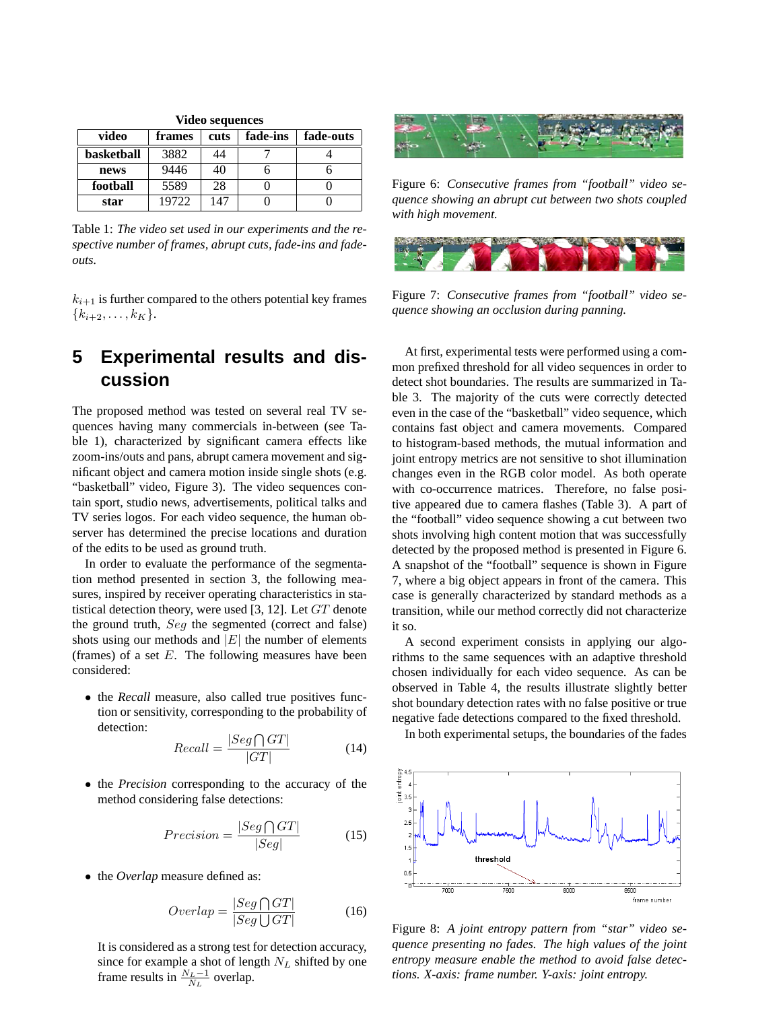| <b>Video sequences</b> |        |      |          |           |  |  |  |  |
|------------------------|--------|------|----------|-----------|--|--|--|--|
| video                  | frames | cuts | fade-ins | fade-outs |  |  |  |  |
| basketball             | 3882   | 44   |          |           |  |  |  |  |
| news                   | 9446   | 40   |          |           |  |  |  |  |
| football               | 5589   | 28   |          |           |  |  |  |  |
| star                   | 19722  | 147  |          |           |  |  |  |  |

Table 1: *The video set used in our experiments and the respective number of frames, abrupt cuts, fade-ins and fadeouts.*

 $k_{i+1}$  is further compared to the others potential key frames  ${k_{i+2}, \ldots, k_K}.$ 

# **5 Experimental results and discussion**

The proposed method was tested on several real TV sequences having many commercials in-between (see Table 1), characterized by significant camera effects like zoom-ins/outs and pans, abrupt camera movement and significant object and camera motion inside single shots (e.g. "basketball" video, Figure 3). The video sequences contain sport, studio news, advertisements, political talks and TV series logos. For each video sequence, the human observer has determined the precise locations and duration of the edits to be used as ground truth.

In order to evaluate the performance of the segmentation method presented in section 3, the following measures, inspired by receiver operating characteristics in statistical detection theory, were used [3, 12]. Let GT denote the ground truth, Seg the segmented (correct and false) shots using our methods and  $|E|$  the number of elements (frames) of a set  $E$ . The following measures have been considered:

• the *Recall* measure, also called true positives function or sensitivity, corresponding to the probability of detection:

$$
Recall = \frac{|Seg \bigcap GT|}{|GT|} \tag{14}
$$

• the *Precision* corresponding to the accuracy of the method considering false detections:

$$
Precision = \frac{|Seg \bigcap GT|}{|Seg|} \tag{15}
$$

• the *Overlap* measure defined as:

$$
Overlap = \frac{|Seg \bigcap GT|}{|Seg \bigcup GT|} \tag{16}
$$

It is considered as a strong test for detection accuracy, since for example a shot of length  $N_L$  shifted by one frame results in  $\frac{N_L-1}{N_L}$  overlap.



Figure 6: *Consecutive frames from "football" video sequence showing an abrupt cut between two shots coupled with high movement.*



Figure 7: *Consecutive frames from "football" video sequence showing an occlusion during panning.*

At first, experimental tests were performed using a common prefixed threshold for all video sequences in order to detect shot boundaries. The results are summarized in Table 3. The majority of the cuts were correctly detected even in the case of the "basketball" video sequence, which contains fast object and camera movements. Compared to histogram-based methods, the mutual information and joint entropy metrics are not sensitive to shot illumination changes even in the RGB color model. As both operate with co-occurrence matrices. Therefore, no false positive appeared due to camera flashes (Table 3). A part of the "football" video sequence showing a cut between two shots involving high content motion that was successfully detected by the proposed method is presented in Figure 6. A snapshot of the "football" sequence is shown in Figure 7, where a big object appears in front of the camera. This case is generally characterized by standard methods as a transition, while our method correctly did not characterize it so.

A second experiment consists in applying our algorithms to the same sequences with an adaptive threshold chosen individually for each video sequence. As can be observed in Table 4, the results illustrate slightly better shot boundary detection rates with no false positive or true negative fade detections compared to the fixed threshold.

In both experimental setups, the boundaries of the fades



Figure 8: *A joint entropy pattern from "star" video sequence presenting no fades. The high values of the joint entropy measure enable the method to avoid false detections. X-axis: frame number. Y-axis: joint entropy.*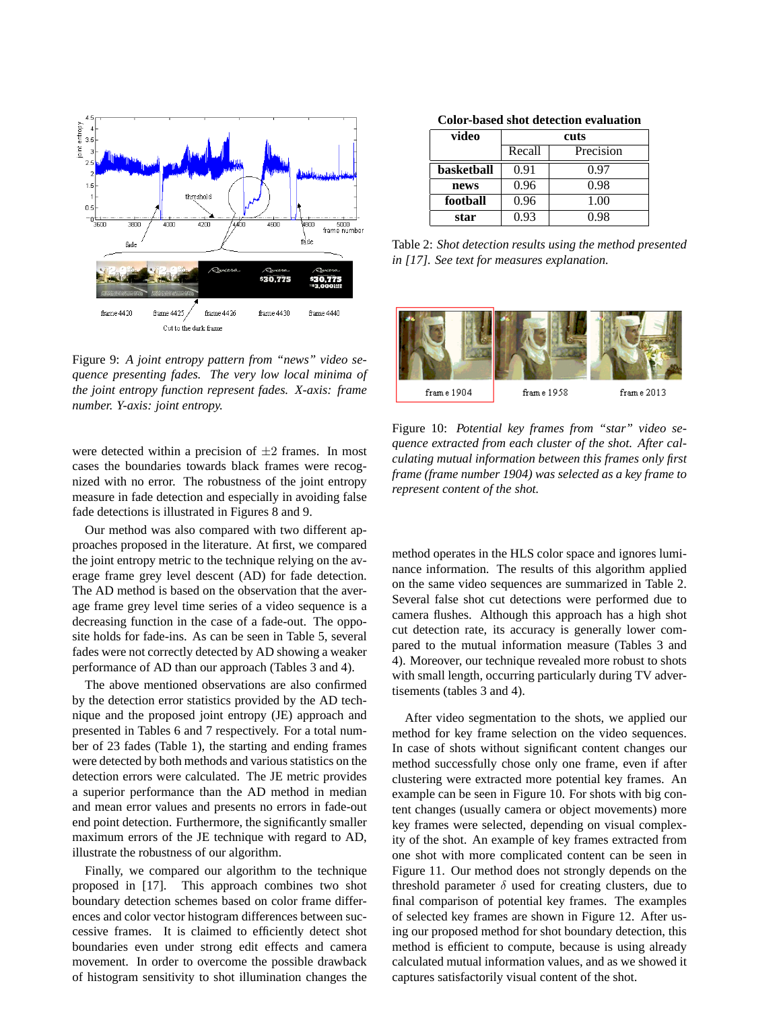

Figure 9: *A joint entropy pattern from "news" video sequence presenting fades. The very low local minima of the joint entropy function represent fades. X-axis: frame number. Y-axis: joint entropy.*

were detected within a precision of  $\pm 2$  frames. In most cases the boundaries towards black frames were recognized with no error. The robustness of the joint entropy measure in fade detection and especially in avoiding false fade detections is illustrated in Figures 8 and 9.

Our method was also compared with two different approaches proposed in the literature. At first, we compared the joint entropy metric to the technique relying on the average frame grey level descent (AD) for fade detection. The AD method is based on the observation that the average frame grey level time series of a video sequence is a decreasing function in the case of a fade-out. The opposite holds for fade-ins. As can be seen in Table 5, several fades were not correctly detected by AD showing a weaker performance of AD than our approach (Tables 3 and 4).

The above mentioned observations are also confirmed by the detection error statistics provided by the AD technique and the proposed joint entropy (JE) approach and presented in Tables 6 and 7 respectively. For a total number of 23 fades (Table 1), the starting and ending frames were detected by both methods and various statistics on the detection errors were calculated. The JE metric provides a superior performance than the AD method in median and mean error values and presents no errors in fade-out end point detection. Furthermore, the significantly smaller maximum errors of the JE technique with regard to AD, illustrate the robustness of our algorithm.

Finally, we compared our algorithm to the technique proposed in [17]. This approach combines two shot boundary detection schemes based on color frame differences and color vector histogram differences between successive frames. It is claimed to efficiently detect shot boundaries even under strong edit effects and camera movement. In order to overcome the possible drawback of histogram sensitivity to shot illumination changes the

| video      | cuts   |           |  |  |  |
|------------|--------|-----------|--|--|--|
|            | Recall | Precision |  |  |  |
| basketball | 0.91   | 0.97      |  |  |  |
| news       | 0.96   | 0.98      |  |  |  |
| football   | 0.96   | 1.00      |  |  |  |
| star       | 0.93   | 0.98      |  |  |  |

Table 2: *Shot detection results using the method presented in [17]. See text for measures explanation.*



Figure 10: *Potential key frames from "star" video sequence extracted from each cluster of the shot. After calculating mutual information between this frames only first frame (frame number 1904) was selected as a key frame to represent content of the shot.*

method operates in the HLS color space and ignores luminance information. The results of this algorithm applied on the same video sequences are summarized in Table 2. Several false shot cut detections were performed due to camera flushes. Although this approach has a high shot cut detection rate, its accuracy is generally lower compared to the mutual information measure (Tables 3 and 4). Moreover, our technique revealed more robust to shots with small length, occurring particularly during TV advertisements (tables 3 and 4).

After video segmentation to the shots, we applied our method for key frame selection on the video sequences. In case of shots without significant content changes our method successfully chose only one frame, even if after clustering were extracted more potential key frames. An example can be seen in Figure 10. For shots with big content changes (usually camera or object movements) more key frames were selected, depending on visual complexity of the shot. An example of key frames extracted from one shot with more complicated content can be seen in Figure 11. Our method does not strongly depends on the threshold parameter  $\delta$  used for creating clusters, due to final comparison of potential key frames. The examples of selected key frames are shown in Figure 12. After using our proposed method for shot boundary detection, this method is efficient to compute, because is using already calculated mutual information values, and as we showed it captures satisfactorily visual content of the shot.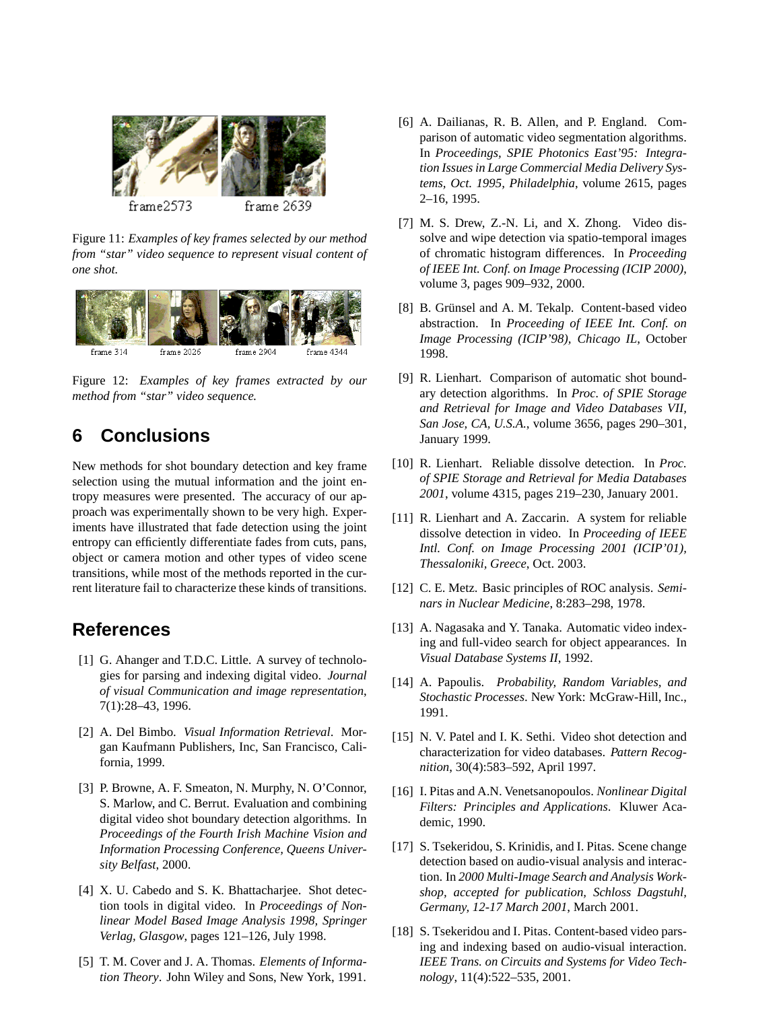

Figure 11: *Examples of key frames selected by our method from "star" video sequence to represent visual content of one shot.*



Figure 12: *Examples of key frames extracted by our method from "star" video sequence.*

# **6 Conclusions**

New methods for shot boundary detection and key frame selection using the mutual information and the joint entropy measures were presented. The accuracy of our approach was experimentally shown to be very high. Experiments have illustrated that fade detection using the joint entropy can efficiently differentiate fades from cuts, pans, object or camera motion and other types of video scene transitions, while most of the methods reported in the current literature fail to characterize these kinds of transitions.

## **References**

- [1] G. Ahanger and T.D.C. Little. A survey of technologies for parsing and indexing digital video. *Journal of visual Communication and image representation*, 7(1):28–43, 1996.
- [2] A. Del Bimbo. *Visual Information Retrieval*. Morgan Kaufmann Publishers, Inc, San Francisco, California, 1999.
- [3] P. Browne, A. F. Smeaton, N. Murphy, N. O'Connor, S. Marlow, and C. Berrut. Evaluation and combining digital video shot boundary detection algorithms. In *Proceedings of the Fourth Irish Machine Vision and Information Processing Conference, Queens University Belfast*, 2000.
- [4] X. U. Cabedo and S. K. Bhattacharjee. Shot detection tools in digital video. In *Proceedings of Nonlinear Model Based Image Analysis 1998, Springer Verlag, Glasgow*, pages 121–126, July 1998.
- [5] T. M. Cover and J. A. Thomas. *Elements of Information Theory*. John Wiley and Sons, New York, 1991.
- [6] A. Dailianas, R. B. Allen, and P. England. Comparison of automatic video segmentation algorithms. In *Proceedings, SPIE Photonics East'95: Integration Issues in Large Commercial Media Delivery Systems, Oct. 1995, Philadelphia*, volume 2615, pages 2–16, 1995.
- [7] M. S. Drew, Z.-N. Li, and X. Zhong. Video dissolve and wipe detection via spatio-temporal images of chromatic histogram differences. In *Proceeding of IEEE Int. Conf. on Image Processing (ICIP 2000)*, volume 3, pages 909–932, 2000.
- [8] B. Grünsel and A. M. Tekalp. Content-based video abstraction. In *Proceeding of IEEE Int. Conf. on Image Processing (ICIP'98), Chicago IL*, October 1998.
- [9] R. Lienhart. Comparison of automatic shot boundary detection algorithms. In *Proc. of SPIE Storage and Retrieval for Image and Video Databases VII, San Jose, CA, U.S.A.*, volume 3656, pages 290–301, January 1999.
- [10] R. Lienhart. Reliable dissolve detection. In *Proc. of SPIE Storage and Retrieval for Media Databases 2001*, volume 4315, pages 219–230, January 2001.
- [11] R. Lienhart and A. Zaccarin. A system for reliable dissolve detection in video. In *Proceeding of IEEE Intl. Conf. on Image Processing 2001 (ICIP'01), Thessaloniki, Greece*, Oct. 2003.
- [12] C. E. Metz. Basic principles of ROC analysis. *Seminars in Nuclear Medicine*, 8:283–298, 1978.
- [13] A. Nagasaka and Y. Tanaka. Automatic video indexing and full-video search for object appearances. In *Visual Database Systems II*, 1992.
- [14] A. Papoulis. *Probability, Random Variables, and Stochastic Processes*. New York: McGraw-Hill, Inc., 1991.
- [15] N. V. Patel and I. K. Sethi. Video shot detection and characterization for video databases. *Pattern Recognition*, 30(4):583–592, April 1997.
- [16] I. Pitas and A.N. Venetsanopoulos. *Nonlinear Digital Filters: Principles and Applications*. Kluwer Academic, 1990.
- [17] S. Tsekeridou, S. Krinidis, and I. Pitas. Scene change detection based on audio-visual analysis and interaction. In *2000 Multi-Image Search and Analysis Workshop, accepted for publication, Schloss Dagstuhl, Germany, 12-17 March 2001*, March 2001.
- [18] S. Tsekeridou and I. Pitas. Content-based video parsing and indexing based on audio-visual interaction. *IEEE Trans. on Circuits and Systems for Video Technology*, 11(4):522–535, 2001.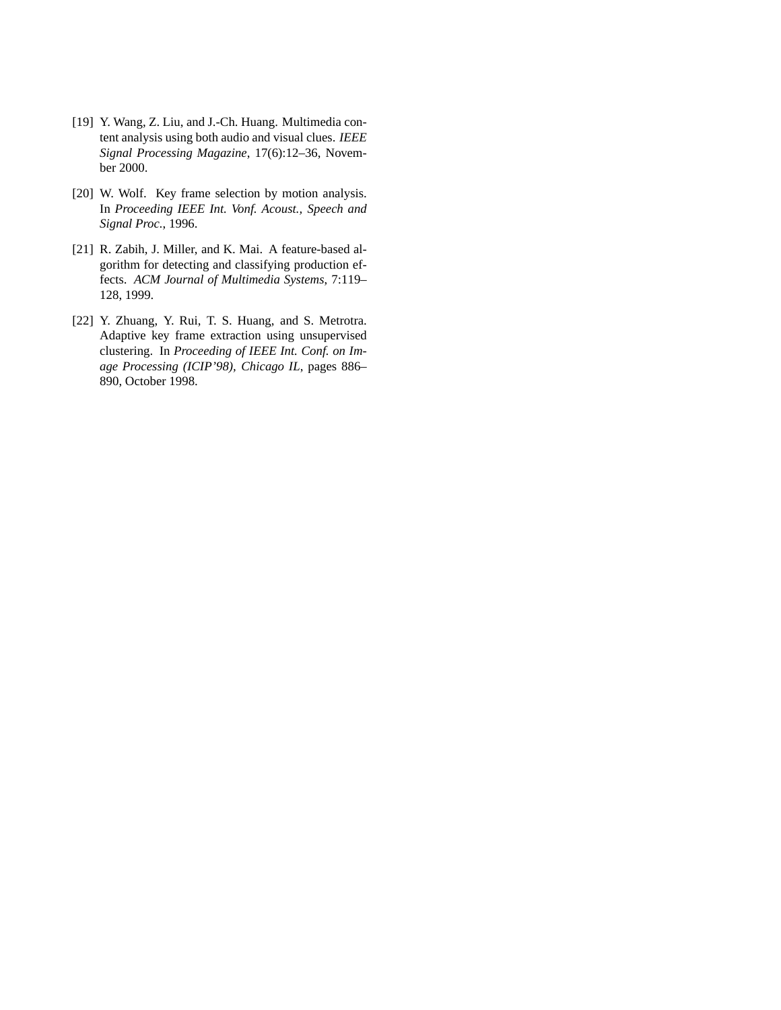- [19] Y. Wang, Z. Liu, and J.-Ch. Huang. Multimedia content analysis using both audio and visual clues. *IEEE Signal Processing Magazine*, 17(6):12–36, November 2000.
- [20] W. Wolf. Key frame selection by motion analysis. In *Proceeding IEEE Int. Vonf. Acoust., Speech and Signal Proc.*, 1996.
- [21] R. Zabih, J. Miller, and K. Mai. A feature-based algorithm for detecting and classifying production effects. *ACM Journal of Multimedia Systems*, 7:119– 128, 1999.
- [22] Y. Zhuang, Y. Rui, T. S. Huang, and S. Metrotra. Adaptive key frame extraction using unsupervised clustering. In *Proceeding of IEEE Int. Conf. on Image Processing (ICIP'98), Chicago IL*, pages 886– 890, October 1998.